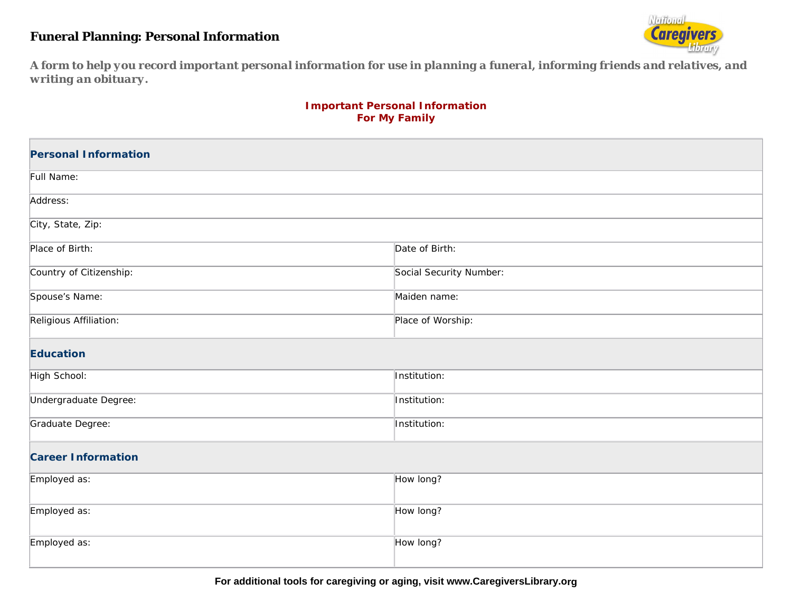## **Funeral Planning: Personal Information**



A form to help you record important personal information for use in planning a funeral, informing friends and relatives, and *writing an obituary.* 

## **Important Personal Informati on For My Family**

| <b>Personal Information</b> |                         |  |
|-----------------------------|-------------------------|--|
| Full Name:                  |                         |  |
| Address:                    |                         |  |
| City, State, Zip:           |                         |  |
| Place of Birth:             | Date of Birth:          |  |
| Country of Citizenship:     | Social Security Number: |  |
| Spouse's Name:              | Maiden name:            |  |
| Religious Affiliation:      | Place of Worship:       |  |
| <b>Education</b>            |                         |  |
| High School:                | Institution:            |  |
| Undergraduate Degree:       | Institution:            |  |
| Graduate Degree:            | Institution:            |  |
| <b>Career Information</b>   |                         |  |
| Employed as:                | How long?               |  |
| Employed as:                | How long?               |  |
| Employed as:                | How long?               |  |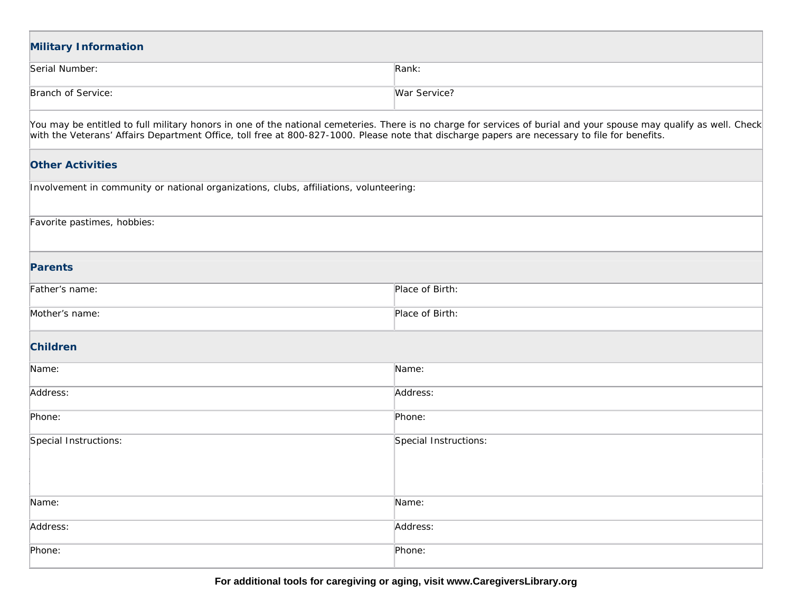| <b>Military Information</b>                                                                                                                    |                                                                                                                                                                     |  |
|------------------------------------------------------------------------------------------------------------------------------------------------|---------------------------------------------------------------------------------------------------------------------------------------------------------------------|--|
| Serial Number:                                                                                                                                 | Rank:                                                                                                                                                               |  |
| Branch of Service:                                                                                                                             | War Service?                                                                                                                                                        |  |
| with the Veterans' Affairs Department Office, toll free at 800-827-1000. Please note that discharge papers are necessary to file for benefits. | You may be entitled to full military honors in one of the national cemeteries. There is no charge for services of burial and your spouse may qualify as well. Check |  |
| <b>Other Activities</b>                                                                                                                        |                                                                                                                                                                     |  |
| Involvement in community or national organizations, clubs, affiliations, volunteering:                                                         |                                                                                                                                                                     |  |
| Favorite pastimes, hobbies:                                                                                                                    |                                                                                                                                                                     |  |
| <b>Parents</b>                                                                                                                                 |                                                                                                                                                                     |  |
| Father's name:                                                                                                                                 | Place of Birth:                                                                                                                                                     |  |
| Mother's name:                                                                                                                                 | Place of Birth:                                                                                                                                                     |  |
| <b>Children</b>                                                                                                                                |                                                                                                                                                                     |  |
| Name:                                                                                                                                          | Name:                                                                                                                                                               |  |
| Address:                                                                                                                                       | Address:                                                                                                                                                            |  |
| Phone:                                                                                                                                         | Phone:                                                                                                                                                              |  |
| Special Instructions:                                                                                                                          | Special Instructions:                                                                                                                                               |  |
| Name:                                                                                                                                          | Name:                                                                                                                                                               |  |
| Address:                                                                                                                                       | Address:                                                                                                                                                            |  |
| Phone:                                                                                                                                         | Phone:                                                                                                                                                              |  |